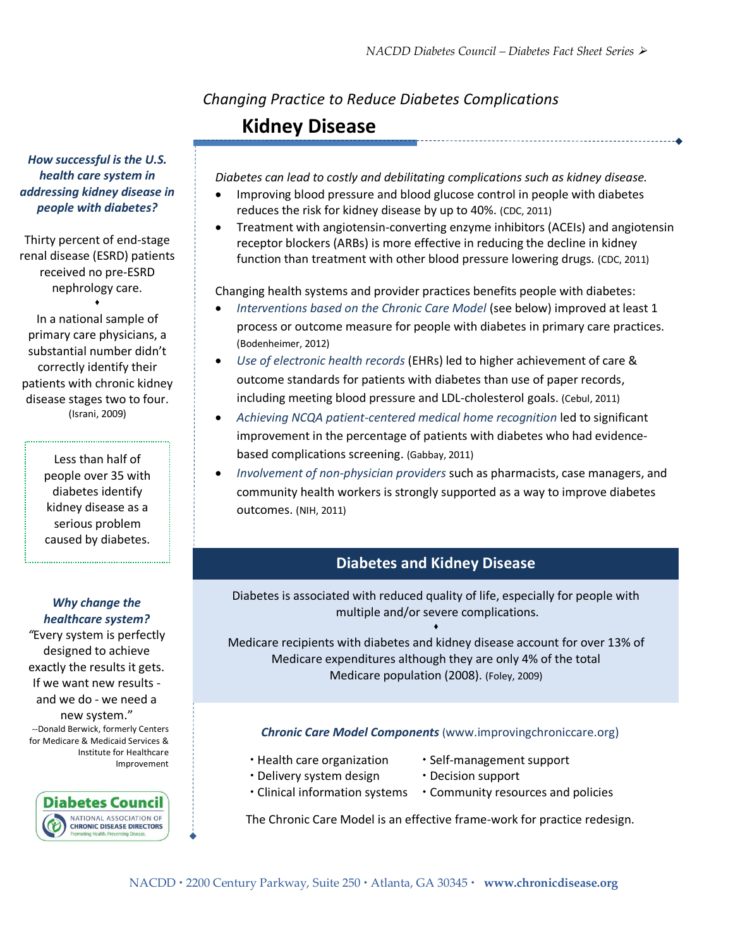# *Changing Practice to Reduce Diabetes Complications* **Kidney Disease**

*Diabetes can lead to costly and debilitating complications such as kidney disease.* 

- Improving blood pressure and blood glucose control in people with diabetes reduces the risk for kidney disease by up to 40%. (CDC, 2011)
- Treatment with angiotensin-converting enzyme inhibitors (ACEIs) and angiotensin receptor blockers (ARBs) is more effective in reducing the decline in kidney function than treatment with other blood pressure lowering drugs. (CDC, 2011)

Changing health systems and provider practices benefits people with diabetes:

- *Interventions based on the Chronic Care Model* (see below) improved at least 1 process or outcome measure for people with diabetes in primary care practices. (Bodenheimer, 2012)
- *Use of electronic health records* (EHRs) led to higher achievement of care & outcome standards for patients with diabetes than use of paper records, including meeting blood pressure and LDL-cholesterol goals. (Cebul, 2011)
- *Achieving NCQA patient-centered medical home recognition* led to significant improvement in the percentage of patients with diabetes who had evidencebased complications screening. (Gabbay, 2011)
- *Involvement of non-physician providers* such as pharmacists, case managers, and community health workers is strongly supported as a way to improve diabetes outcomes. (NIH, 2011)

# **Diabetes and Kidney Disease**

Diabetes is associated with reduced quality of life, especially for people with multiple and/or severe complications.  $\bullet$ 

Medicare recipients with diabetes and kidney disease account for over 13% of Medicare expenditures although they are only 4% of the total Medicare population (2008). (Foley, 2009)

#### *Chronic Care Model Components* (www.improvingchroniccare.org)

- 
- Health care organization Self-management support
- Delivery system design Decision support
- Clinical information systems Community resources and policies

The Chronic Care Model is an effective frame-work for practice redesign.

*How successful is the U.S. health care system in addressing kidney disease in people with diabetes?*

Thirty percent of end-stage renal disease (ESRD) patients received no pre-ESRD nephrology care.

 primary care physicians, a correctly identify their disease stages two to four.  $\bullet$ In a national sample of substantial number didn't patients with chronic kidney (Israni, 2009)

> Less than half of people over 35 with diabetes identify kidney disease as a serious problem caused by diabetes.

#### *Why change the healthcare system?*

*"*Every system is perfectly designed to achieve exactly the results it gets. If we want new results and we do - we need a new system." --Donald Berwick, formerly Centers for Medicare & Medicaid Services & Institute for Healthcare Improvement